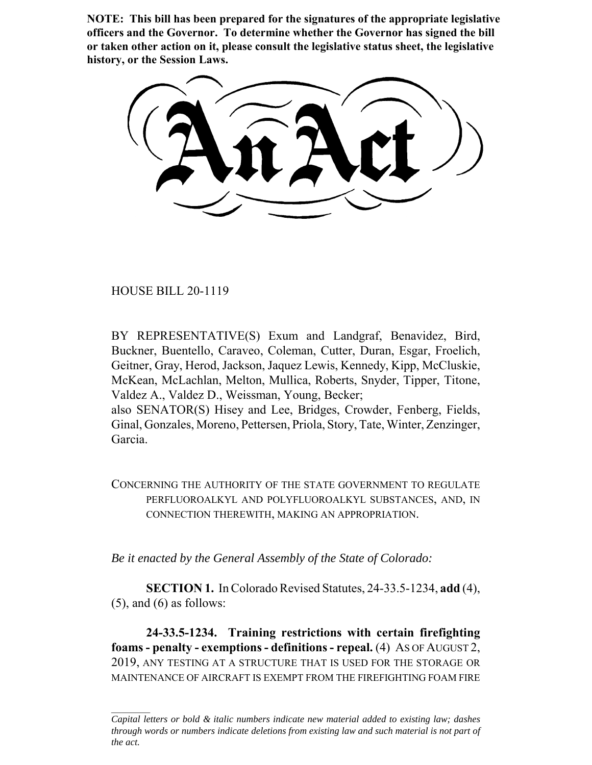**NOTE: This bill has been prepared for the signatures of the appropriate legislative officers and the Governor. To determine whether the Governor has signed the bill or taken other action on it, please consult the legislative status sheet, the legislative history, or the Session Laws.**

HOUSE BILL 20-1119

Garcia.

BY REPRESENTATIVE(S) Exum and Landgraf, Benavidez, Bird, Buckner, Buentello, Caraveo, Coleman, Cutter, Duran, Esgar, Froelich, Geitner, Gray, Herod, Jackson, Jaquez Lewis, Kennedy, Kipp, McCluskie, McKean, McLachlan, Melton, Mullica, Roberts, Snyder, Tipper, Titone, Valdez A., Valdez D., Weissman, Young, Becker; also SENATOR(S) Hisey and Lee, Bridges, Crowder, Fenberg, Fields, Ginal, Gonzales, Moreno, Pettersen, Priola, Story, Tate, Winter, Zenzinger,

CONCERNING THE AUTHORITY OF THE STATE GOVERNMENT TO REGULATE PERFLUOROALKYL AND POLYFLUOROALKYL SUBSTANCES, AND, IN CONNECTION THEREWITH, MAKING AN APPROPRIATION.

*Be it enacted by the General Assembly of the State of Colorado:*

**SECTION 1.** In Colorado Revised Statutes, 24-33.5-1234, **add** (4),  $(5)$ , and  $(6)$  as follows:

**24-33.5-1234. Training restrictions with certain firefighting foams - penalty - exemptions - definitions - repeal.** (4) AS OF AUGUST 2, 2019, ANY TESTING AT A STRUCTURE THAT IS USED FOR THE STORAGE OR MAINTENANCE OF AIRCRAFT IS EXEMPT FROM THE FIREFIGHTING FOAM FIRE

*Capital letters or bold & italic numbers indicate new material added to existing law; dashes through words or numbers indicate deletions from existing law and such material is not part of the act.*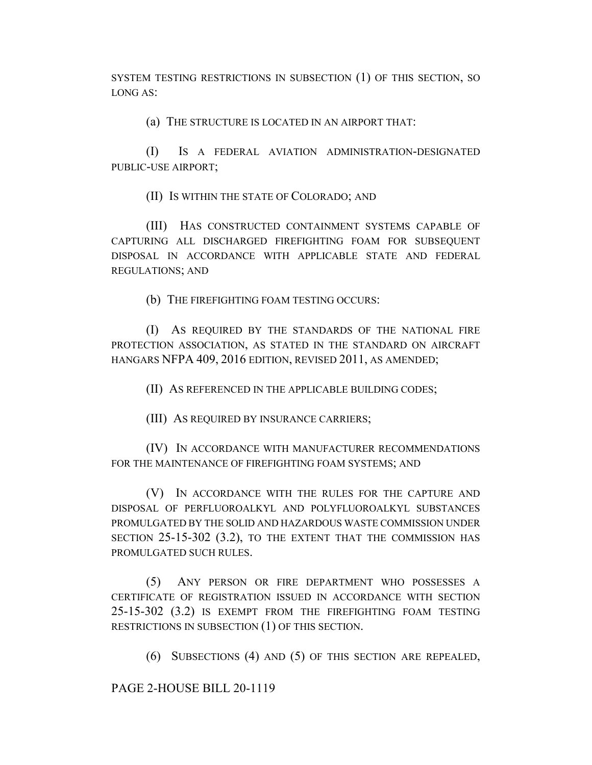SYSTEM TESTING RESTRICTIONS IN SUBSECTION (1) OF THIS SECTION, SO LONG AS:

(a) THE STRUCTURE IS LOCATED IN AN AIRPORT THAT:

(I) IS A FEDERAL AVIATION ADMINISTRATION-DESIGNATED PUBLIC-USE AIRPORT;

(II) IS WITHIN THE STATE OF COLORADO; AND

(III) HAS CONSTRUCTED CONTAINMENT SYSTEMS CAPABLE OF CAPTURING ALL DISCHARGED FIREFIGHTING FOAM FOR SUBSEQUENT DISPOSAL IN ACCORDANCE WITH APPLICABLE STATE AND FEDERAL REGULATIONS; AND

(b) THE FIREFIGHTING FOAM TESTING OCCURS:

(I) AS REQUIRED BY THE STANDARDS OF THE NATIONAL FIRE PROTECTION ASSOCIATION, AS STATED IN THE STANDARD ON AIRCRAFT HANGARS NFPA 409, 2016 EDITION, REVISED 2011, AS AMENDED;

(II) AS REFERENCED IN THE APPLICABLE BUILDING CODES;

(III) AS REQUIRED BY INSURANCE CARRIERS;

(IV) IN ACCORDANCE WITH MANUFACTURER RECOMMENDATIONS FOR THE MAINTENANCE OF FIREFIGHTING FOAM SYSTEMS; AND

(V) IN ACCORDANCE WITH THE RULES FOR THE CAPTURE AND DISPOSAL OF PERFLUOROALKYL AND POLYFLUOROALKYL SUBSTANCES PROMULGATED BY THE SOLID AND HAZARDOUS WASTE COMMISSION UNDER SECTION 25-15-302 (3.2), TO THE EXTENT THAT THE COMMISSION HAS PROMULGATED SUCH RULES.

(5) ANY PERSON OR FIRE DEPARTMENT WHO POSSESSES A CERTIFICATE OF REGISTRATION ISSUED IN ACCORDANCE WITH SECTION 25-15-302 (3.2) IS EXEMPT FROM THE FIREFIGHTING FOAM TESTING RESTRICTIONS IN SUBSECTION (1) OF THIS SECTION.

(6) SUBSECTIONS (4) AND (5) OF THIS SECTION ARE REPEALED,

PAGE 2-HOUSE BILL 20-1119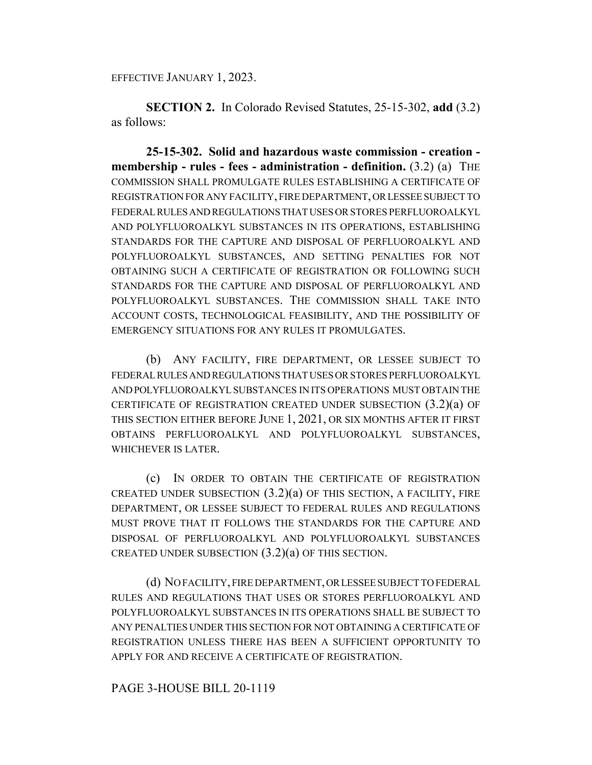EFFECTIVE JANUARY 1, 2023.

**SECTION 2.** In Colorado Revised Statutes, 25-15-302, **add** (3.2) as follows:

**25-15-302. Solid and hazardous waste commission - creation membership - rules - fees - administration - definition.** (3.2) (a) THE COMMISSION SHALL PROMULGATE RULES ESTABLISHING A CERTIFICATE OF REGISTRATION FOR ANY FACILITY, FIRE DEPARTMENT, OR LESSEE SUBJECT TO FEDERAL RULES AND REGULATIONS THAT USES OR STORES PERFLUOROALKYL AND POLYFLUOROALKYL SUBSTANCES IN ITS OPERATIONS, ESTABLISHING STANDARDS FOR THE CAPTURE AND DISPOSAL OF PERFLUOROALKYL AND POLYFLUOROALKYL SUBSTANCES, AND SETTING PENALTIES FOR NOT OBTAINING SUCH A CERTIFICATE OF REGISTRATION OR FOLLOWING SUCH STANDARDS FOR THE CAPTURE AND DISPOSAL OF PERFLUOROALKYL AND POLYFLUOROALKYL SUBSTANCES. THE COMMISSION SHALL TAKE INTO ACCOUNT COSTS, TECHNOLOGICAL FEASIBILITY, AND THE POSSIBILITY OF EMERGENCY SITUATIONS FOR ANY RULES IT PROMULGATES.

(b) ANY FACILITY, FIRE DEPARTMENT, OR LESSEE SUBJECT TO FEDERAL RULES AND REGULATIONS THAT USES OR STORES PERFLUOROALKYL AND POLYFLUOROALKYL SUBSTANCES IN ITS OPERATIONS MUST OBTAIN THE CERTIFICATE OF REGISTRATION CREATED UNDER SUBSECTION (3.2)(a) OF THIS SECTION EITHER BEFORE JUNE 1, 2021, OR SIX MONTHS AFTER IT FIRST OBTAINS PERFLUOROALKYL AND POLYFLUOROALKYL SUBSTANCES, WHICHEVER IS LATER.

(c) IN ORDER TO OBTAIN THE CERTIFICATE OF REGISTRATION CREATED UNDER SUBSECTION  $(3.2)(a)$  OF THIS SECTION, A FACILITY, FIRE DEPARTMENT, OR LESSEE SUBJECT TO FEDERAL RULES AND REGULATIONS MUST PROVE THAT IT FOLLOWS THE STANDARDS FOR THE CAPTURE AND DISPOSAL OF PERFLUOROALKYL AND POLYFLUOROALKYL SUBSTANCES CREATED UNDER SUBSECTION  $(3.2)(a)$  OF THIS SECTION.

(d) NO FACILITY, FIRE DEPARTMENT, OR LESSEE SUBJECT TO FEDERAL RULES AND REGULATIONS THAT USES OR STORES PERFLUOROALKYL AND POLYFLUOROALKYL SUBSTANCES IN ITS OPERATIONS SHALL BE SUBJECT TO ANY PENALTIES UNDER THIS SECTION FOR NOT OBTAINING A CERTIFICATE OF REGISTRATION UNLESS THERE HAS BEEN A SUFFICIENT OPPORTUNITY TO APPLY FOR AND RECEIVE A CERTIFICATE OF REGISTRATION.

## PAGE 3-HOUSE BILL 20-1119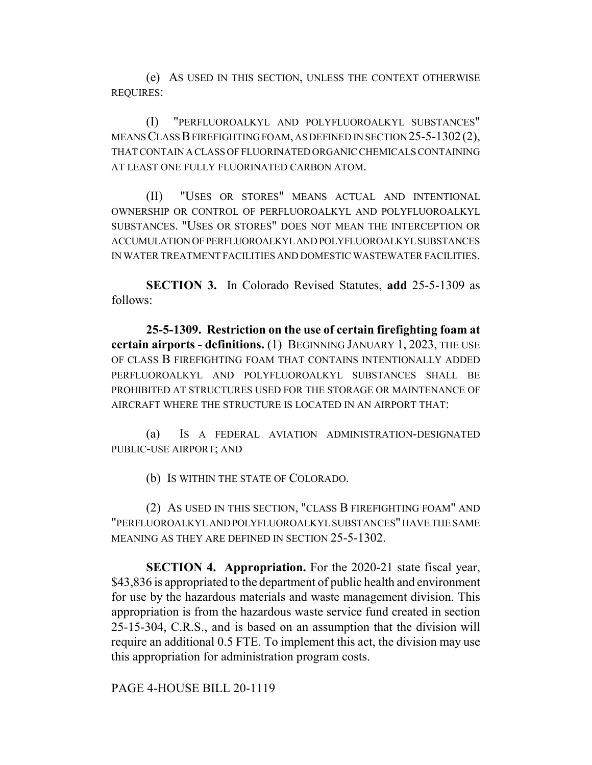(e) AS USED IN THIS SECTION, UNLESS THE CONTEXT OTHERWISE REQUIRES:

(I) "PERFLUOROALKYL AND POLYFLUOROALKYL SUBSTANCES" MEANS CLASS B FIREFIGHTING FOAM, AS DEFINED IN SECTION 25-5-1302(2), THAT CONTAIN A CLASS OF FLUORINATED ORGANIC CHEMICALS CONTAINING AT LEAST ONE FULLY FLUORINATED CARBON ATOM.

(II) "USES OR STORES" MEANS ACTUAL AND INTENTIONAL OWNERSHIP OR CONTROL OF PERFLUOROALKYL AND POLYFLUOROALKYL SUBSTANCES. "USES OR STORES" DOES NOT MEAN THE INTERCEPTION OR ACCUMULATION OF PERFLUOROALKYL AND POLYFLUOROALKYL SUBSTANCES IN WATER TREATMENT FACILITIES AND DOMESTIC WASTEWATER FACILITIES.

**SECTION 3.** In Colorado Revised Statutes, **add** 25-5-1309 as follows:

**25-5-1309. Restriction on the use of certain firefighting foam at certain airports - definitions.** (1) BEGINNING JANUARY 1, 2023, THE USE OF CLASS B FIREFIGHTING FOAM THAT CONTAINS INTENTIONALLY ADDED PERFLUOROALKYL AND POLYFLUOROALKYL SUBSTANCES SHALL BE PROHIBITED AT STRUCTURES USED FOR THE STORAGE OR MAINTENANCE OF AIRCRAFT WHERE THE STRUCTURE IS LOCATED IN AN AIRPORT THAT:

(a) IS A FEDERAL AVIATION ADMINISTRATION-DESIGNATED PUBLIC-USE AIRPORT; AND

(b) IS WITHIN THE STATE OF COLORADO.

(2) AS USED IN THIS SECTION, "CLASS B FIREFIGHTING FOAM" AND "PERFLUOROALKYL AND POLYFLUOROALKYL SUBSTANCES" HAVE THE SAME MEANING AS THEY ARE DEFINED IN SECTION 25-5-1302.

**SECTION 4. Appropriation.** For the 2020-21 state fiscal year, \$43,836 is appropriated to the department of public health and environment for use by the hazardous materials and waste management division. This appropriation is from the hazardous waste service fund created in section 25-15-304, C.R.S., and is based on an assumption that the division will require an additional 0.5 FTE. To implement this act, the division may use this appropriation for administration program costs.

PAGE 4-HOUSE BILL 20-1119